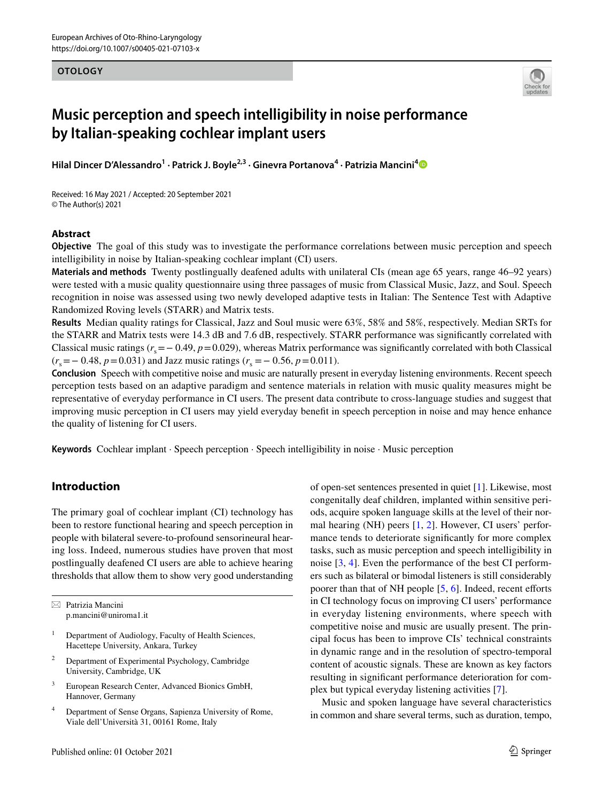## **OTOLOGY**



# **Music perception and speech intelligibility in noise performance by Italian‑speaking cochlear implant users**

**Hilal Dincer D'Alessandro<sup>1</sup> · Patrick J. Boyle2,3 · Ginevra Portanova4 · Patrizia Mancini[4](http://orcid.org/0000-0003-0982-0905)**

Received: 16 May 2021 / Accepted: 20 September 2021 © The Author(s) 2021

## **Abstract**

**Objective** The goal of this study was to investigate the performance correlations between music perception and speech intelligibility in noise by Italian-speaking cochlear implant (CI) users.

**Materials and methods** Twenty postlingually deafened adults with unilateral CIs (mean age 65 years, range 46–92 years) were tested with a music quality questionnaire using three passages of music from Classical Music, Jazz, and Soul. Speech recognition in noise was assessed using two newly developed adaptive tests in Italian: The Sentence Test with Adaptive Randomized Roving levels (STARR) and Matrix tests.

**Results** Median quality ratings for Classical, Jazz and Soul music were 63%, 58% and 58%, respectively. Median SRTs for the STARR and Matrix tests were 14.3 dB and 7.6 dB, respectively. STARR performance was signifcantly correlated with Classical music ratings  $(r_s = -0.49, p = 0.029)$ , whereas Matrix performance was significantly correlated with both Classical  $(r<sub>s</sub>=-0.48, p=0.031)$  and Jazz music ratings  $(r<sub>s</sub>=-0.56, p=0.011)$ .

**Conclusion** Speech with competitive noise and music are naturally present in everyday listening environments. Recent speech perception tests based on an adaptive paradigm and sentence materials in relation with music quality measures might be representative of everyday performance in CI users. The present data contribute to cross-language studies and suggest that improving music perception in CI users may yield everyday beneft in speech perception in noise and may hence enhance the quality of listening for CI users.

**Keywords** Cochlear implant · Speech perception · Speech intelligibility in noise · Music perception

# **Introduction**

The primary goal of cochlear implant (CI) technology has been to restore functional hearing and speech perception in people with bilateral severe-to-profound sensorineural hearing loss. Indeed, numerous studies have proven that most postlingually deafened CI users are able to achieve hearing thresholds that allow them to show very good understanding

 $\boxtimes$  Patrizia Mancini p.mancini@uniroma1.it

- <sup>1</sup> Department of Audiology, Faculty of Health Sciences, Hacettepe University, Ankara, Turkey
- <sup>2</sup> Department of Experimental Psychology, Cambridge University, Cambridge, UK
- <sup>3</sup> European Research Center, Advanced Bionics GmbH, Hannover, Germany
- <sup>4</sup> Department of Sense Organs, Sapienza University of Rome, Viale dell'Università 31, 00161 Rome, Italy

of open-set sentences presented in quiet [\[1](#page-7-0)]. Likewise, most congenitally deaf children, implanted within sensitive periods, acquire spoken language skills at the level of their normal hearing (NH) peers [\[1](#page-7-0), [2\]](#page-7-1). However, CI users' performance tends to deteriorate signifcantly for more complex tasks, such as music perception and speech intelligibility in noise [[3,](#page-7-2) [4](#page-7-3)]. Even the performance of the best CI performers such as bilateral or bimodal listeners is still considerably poorer than that of NH people  $[5, 6]$  $[5, 6]$  $[5, 6]$ . Indeed, recent efforts in CI technology focus on improving CI users' performance in everyday listening environments, where speech with competitive noise and music are usually present. The principal focus has been to improve CIs' technical constraints in dynamic range and in the resolution of spectro-temporal content of acoustic signals. These are known as key factors resulting in signifcant performance deterioration for complex but typical everyday listening activities [[7\]](#page-7-6).

Music and spoken language have several characteristics in common and share several terms, such as duration, tempo,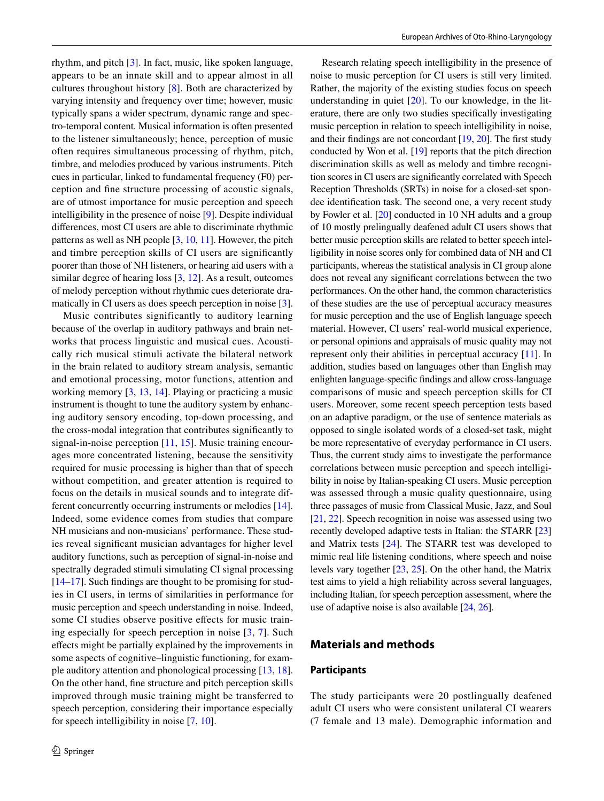rhythm, and pitch [\[3](#page-7-2)]. In fact, music, like spoken language, appears to be an innate skill and to appear almost in all cultures throughout history [\[8](#page-8-0)]. Both are characterized by varying intensity and frequency over time; however, music typically spans a wider spectrum, dynamic range and spectro-temporal content. Musical information is often presented to the listener simultaneously; hence, perception of music often requires simultaneous processing of rhythm, pitch, timbre, and melodies produced by various instruments. Pitch cues in particular, linked to fundamental frequency (F0) perception and fne structure processing of acoustic signals, are of utmost importance for music perception and speech intelligibility in the presence of noise [\[9](#page-8-1)]. Despite individual diferences, most CI users are able to discriminate rhythmic patterns as well as NH people [\[3](#page-7-2), [10,](#page-8-2) [11](#page-8-3)]. However, the pitch and timbre perception skills of CI users are signifcantly poorer than those of NH listeners, or hearing aid users with a similar degree of hearing loss [\[3](#page-7-2), [12](#page-8-4)]. As a result, outcomes of melody perception without rhythmic cues deteriorate dramatically in CI users as does speech perception in noise [\[3](#page-7-2)].

Music contributes significantly to auditory learning because of the overlap in auditory pathways and brain networks that process linguistic and musical cues. Acoustically rich musical stimuli activate the bilateral network in the brain related to auditory stream analysis, semantic and emotional processing, motor functions, attention and working memory [[3,](#page-7-2) [13](#page-8-5), [14](#page-8-6)]. Playing or practicing a music instrument is thought to tune the auditory system by enhancing auditory sensory encoding, top-down processing, and the cross-modal integration that contributes signifcantly to signal-in-noise perception [[11,](#page-8-3) [15\]](#page-8-7). Music training encourages more concentrated listening, because the sensitivity required for music processing is higher than that of speech without competition, and greater attention is required to focus on the details in musical sounds and to integrate different concurrently occurring instruments or melodies [\[14](#page-8-6)]. Indeed, some evidence comes from studies that compare NH musicians and non-musicians' performance. These studies reveal signifcant musician advantages for higher level auditory functions, such as perception of signal-in-noise and spectrally degraded stimuli simulating CI signal processing [\[14](#page-8-6)[–17](#page-8-8)]. Such fndings are thought to be promising for studies in CI users, in terms of similarities in performance for music perception and speech understanding in noise. Indeed, some CI studies observe positive efects for music training especially for speech perception in noise [[3,](#page-7-2) [7\]](#page-7-6). Such efects might be partially explained by the improvements in some aspects of cognitive–linguistic functioning, for example auditory attention and phonological processing [\[13,](#page-8-5) [18](#page-8-9)]. On the other hand, fne structure and pitch perception skills improved through music training might be transferred to speech perception, considering their importance especially for speech intelligibility in noise [[7,](#page-7-6) [10\]](#page-8-2).

Research relating speech intelligibility in the presence of noise to music perception for CI users is still very limited. Rather, the majority of the existing studies focus on speech understanding in quiet [\[20](#page-8-10)]. To our knowledge, in the literature, there are only two studies specifcally investigating music perception in relation to speech intelligibility in noise, and their findings are not concordant  $[19, 20]$  $[19, 20]$  $[19, 20]$ . The first study conducted by Won et al. [\[19](#page-8-11)] reports that the pitch direction discrimination skills as well as melody and timbre recognition scores in Cl users are signifcantly correlated with Speech Reception Thresholds (SRTs) in noise for a closed-set spondee identifcation task. The second one, a very recent study by Fowler et al. [\[20](#page-8-10)] conducted in 10 NH adults and a group of 10 mostly prelingually deafened adult CI users shows that better music perception skills are related to better speech intelligibility in noise scores only for combined data of NH and CI participants, whereas the statistical analysis in CI group alone does not reveal any signifcant correlations between the two performances. On the other hand, the common characteristics of these studies are the use of perceptual accuracy measures for music perception and the use of English language speech material. However, CI users' real-world musical experience, or personal opinions and appraisals of music quality may not represent only their abilities in perceptual accuracy [\[11](#page-8-3)]. In addition, studies based on languages other than English may enlighten language-specifc fndings and allow cross-language comparisons of music and speech perception skills for CI users. Moreover, some recent speech perception tests based on an adaptive paradigm, or the use of sentence materials as opposed to single isolated words of a closed-set task, might be more representative of everyday performance in CI users. Thus, the current study aims to investigate the performance correlations between music perception and speech intelligibility in noise by Italian-speaking CI users. Music perception was assessed through a music quality questionnaire, using three passages of music from Classical Music, Jazz, and Soul [\[21](#page-8-12), [22\]](#page-8-13). Speech recognition in noise was assessed using two recently developed adaptive tests in Italian: the STARR [\[23\]](#page-8-14) and Matrix tests [[24\]](#page-8-15). The STARR test was developed to mimic real life listening conditions, where speech and noise levels vary together [[23,](#page-8-14) [25\]](#page-8-16). On the other hand, the Matrix test aims to yield a high reliability across several languages, including Italian, for speech perception assessment, where the use of adaptive noise is also available [\[24,](#page-8-15) [26\]](#page-8-17).

# **Materials and methods**

## **Participants**

The study participants were 20 postlingually deafened adult CI users who were consistent unilateral CI wearers (7 female and 13 male). Demographic information and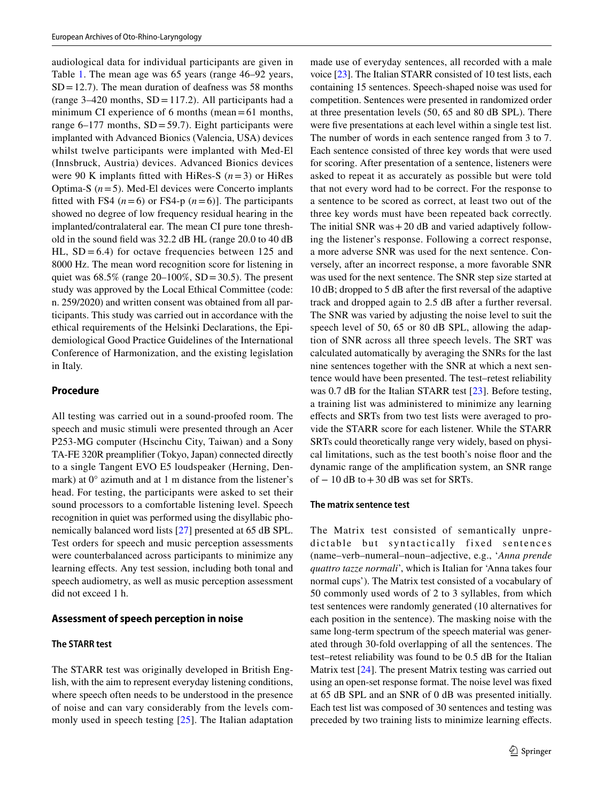audiological data for individual participants are given in Table [1](#page-3-0). The mean age was 65 years (range 46–92 years,  $SD = 12.7$ ). The mean duration of deafness was 58 months (range  $3-420$  months,  $SD = 117.2$ ). All participants had a minimum CI experience of 6 months (mean=61 months, range 6–177 months,  $SD = 59.7$ ). Eight participants were implanted with Advanced Bionics (Valencia, USA) devices whilst twelve participants were implanted with Med-El (Innsbruck, Austria) devices. Advanced Bionics devices were 90 K implants fitted with HiRes-S  $(n=3)$  or HiRes Optima-S  $(n=5)$ . Med-El devices were Concerto implants fitted with FS4  $(n=6)$  or FS4-p  $(n=6)$ ]. The participants showed no degree of low frequency residual hearing in the implanted/contralateral ear. The mean CI pure tone threshold in the sound feld was 32.2 dB HL (range 20.0 to 40 dB HL,  $SD = 6.4$ ) for octave frequencies between 125 and 8000 Hz. The mean word recognition score for listening in quiet was  $68.5\%$  (range  $20-100\%$ , SD = 30.5). The present study was approved by the Local Ethical Committee (code: n. 259/2020) and written consent was obtained from all participants. This study was carried out in accordance with the ethical requirements of the Helsinki Declarations, the Epidemiological Good Practice Guidelines of the International Conference of Harmonization, and the existing legislation in Italy.

## **Procedure**

All testing was carried out in a sound-proofed room. The speech and music stimuli were presented through an Acer P253-MG computer (Hscinchu City, Taiwan) and a Sony TA-FE 320R preamplifer (Tokyo, Japan) connected directly to a single Tangent EVO E5 loudspeaker (Herning, Denmark) at 0° azimuth and at 1 m distance from the listener's head. For testing, the participants were asked to set their sound processors to a comfortable listening level. Speech recognition in quiet was performed using the disyllabic phonemically balanced word lists [\[27](#page-8-18)] presented at 65 dB SPL. Test orders for speech and music perception assessments were counterbalanced across participants to minimize any learning effects. Any test session, including both tonal and speech audiometry, as well as music perception assessment did not exceed 1 h.

## **Assessment of speech perception in noise**

#### **The STARR test**

The STARR test was originally developed in British English, with the aim to represent everyday listening conditions, where speech often needs to be understood in the presence of noise and can vary considerably from the levels commonly used in speech testing [[25](#page-8-16)]. The Italian adaptation made use of everyday sentences, all recorded with a male voice [[23\]](#page-8-14). The Italian STARR consisted of 10 test lists, each containing 15 sentences. Speech-shaped noise was used for competition. Sentences were presented in randomized order at three presentation levels (50, 65 and 80 dB SPL). There were five presentations at each level within a single test list. The number of words in each sentence ranged from 3 to 7. Each sentence consisted of three key words that were used for scoring. After presentation of a sentence, listeners were asked to repeat it as accurately as possible but were told that not every word had to be correct. For the response to a sentence to be scored as correct, at least two out of the three key words must have been repeated back correctly. The initial SNR was $+20$  dB and varied adaptively following the listener's response. Following a correct response, a more adverse SNR was used for the next sentence. Conversely, after an incorrect response, a more favorable SNR was used for the next sentence. The SNR step size started at 10 dB; dropped to 5 dB after the frst reversal of the adaptive track and dropped again to 2.5 dB after a further reversal. The SNR was varied by adjusting the noise level to suit the speech level of 50, 65 or 80 dB SPL, allowing the adaption of SNR across all three speech levels. The SRT was calculated automatically by averaging the SNRs for the last nine sentences together with the SNR at which a next sentence would have been presented. The test–retest reliability was 0.7 dB for the Italian STARR test [\[23](#page-8-14)]. Before testing, a training list was administered to minimize any learning efects and SRTs from two test lists were averaged to provide the STARR score for each listener. While the STARR SRTs could theoretically range very widely, based on physical limitations, such as the test booth's noise foor and the dynamic range of the amplifcation system, an SNR range of  $-10$  dB to  $+30$  dB was set for SRTs.

## **The matrix sentence test**

The Matrix test consisted of semantically unpredictable but syntactically fixed sentences (name–verb–numeral–noun–adjective, e.g., '*Anna prende quattro tazze normali*', which is Italian for 'Anna takes four normal cups'). The Matrix test consisted of a vocabulary of 50 commonly used words of 2 to 3 syllables, from which test sentences were randomly generated (10 alternatives for each position in the sentence). The masking noise with the same long-term spectrum of the speech material was generated through 30-fold overlapping of all the sentences. The test–retest reliability was found to be 0.5 dB for the Italian Matrix test [[24\]](#page-8-15). The present Matrix testing was carried out using an open-set response format. The noise level was fxed at 65 dB SPL and an SNR of 0 dB was presented initially. Each test list was composed of 30 sentences and testing was preceded by two training lists to minimize learning efects.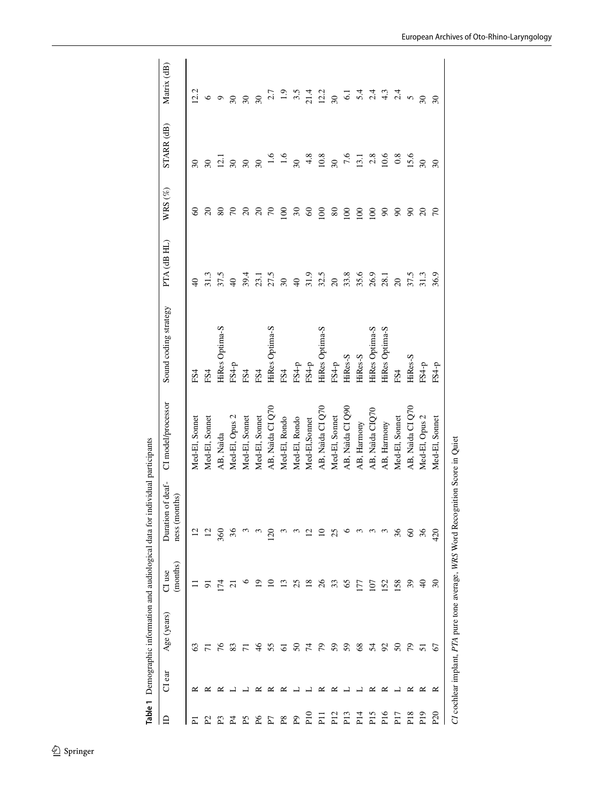<span id="page-3-0"></span>

|                 |        |                |                          | Table 1 Demographic information and audiological data for individual participants |                    |                       |                          |                  |                          |                                     |
|-----------------|--------|----------------|--------------------------|-----------------------------------------------------------------------------------|--------------------|-----------------------|--------------------------|------------------|--------------------------|-------------------------------------|
| ⊟               | CI ear | Age (years)    | (months)<br>CI use       | of deaf-<br>ness (months)<br>Duration                                             | CI model/processor | Sound coding strategy | PTA (dB HL)              | WRS $(\%)$       | STARR (dB)               | Matrix (dB)                         |
| Σ               | ≃      | 63             |                          | $\Xi$                                                                             | Med-El, Sonnet     | FS4                   |                          | 8                | $\overline{\omega}$      | 12.2                                |
| 2               |        |                | 5                        |                                                                                   | Med-El, Sonnet     | FS <sub>4</sub>       | 31.3                     | $\Omega$         | $30\,$                   | $\circ$                             |
| ፎ               |        | 76             | 174                      | 360                                                                               | AB, Naida          | HiRes Optima-S        | 37.5                     | $80\,$           | $\overline{12.1}$        | $\circ$                             |
| 24              |        | 83             | $\overline{\mathcal{C}}$ |                                                                                   | Med-El, Opus 2     | $FS4-p$               | $\Theta$                 | $\sqrt{2}$       | $30\,$                   | $30\,$                              |
| Ρ5              |        |                | c                        |                                                                                   | Med-El, Sonnet     | FS4                   | 39.4                     | $\overline{c}$   | $30\,$                   | $30\,$                              |
| Æ               |        | $\frac{4}{6}$  | σ                        |                                                                                   | Med-El, Sonnet     | FS4                   |                          | $\Omega$         | $\overline{30}$          | $\infty$                            |
| E               |        | 55             |                          |                                                                                   | AB, Naida CI Q70   | HiRes Optima-S        | 23.1<br>27.5             | $\mathcal{L}$    | 1.6                      |                                     |
| $_{\rm R}$      | ≃      | 5              |                          |                                                                                   | Med-El, Rondo      | FS4                   | $\overline{\mathrm{30}}$ | $\overline{0}$   | 1.6                      | $2.7$<br>$1.9$<br>$3.5$             |
| <b>P</b> Q      |        | $50\,$         | 25                       |                                                                                   | Med-El, Rondo      | $FS4-p$               | $\overline{a}$           | $\mathfrak{S}$   | $\overline{\mathcal{E}}$ |                                     |
| $_{\rm Pl}$     |        | $\overline{7}$ | $\frac{8}{2}$            |                                                                                   | Med-El,Sonnet      | $FS4-p$               | 31.9                     | $\infty$         | 4.8                      | 21.4                                |
| 드               |        | 54             | $\delta$                 |                                                                                   | AB, Naida CI Q70   | HiRes Optima-S        | 32.5                     | 100              | 10.8                     | 12.2                                |
| P <sub>12</sub> | ≃      | 59             | 33                       | 25                                                                                | Med-El, Sonnet     | FS4-p                 | $\overline{c}$           | 80               | $\overline{30}$          | $30\,$                              |
| P <sub>13</sub> |        | 59             | 65                       |                                                                                   | AB, Naida CI Q90   | HiRes-S               | 33.8                     | 100              | 7.6                      |                                     |
| $\frac{4}{1}$   |        | $\frac{8}{3}$  | 177                      |                                                                                   | AB, Harmony        | HiRes-S               | 35.6                     | $\overline{100}$ | 13.1                     |                                     |
| P <sub>15</sub> | ≃      | 54             | 107                      |                                                                                   | AB, Naida CIQ70    | HiRes Optima-S        | 26.9                     | 100              | $2.8$                    | 1 1 1 1 1<br>1 1 1 1 1<br>1 1 1 1 1 |
| P <sub>16</sub> | ≃      | $\mathcal{S}$  | 152                      |                                                                                   | AB, Harmony        | HiRes Optima-S        | 28.1                     | 90               | 10.6                     |                                     |
| P <sub>17</sub> |        | $\mathcal{S}$  | 158                      | 36                                                                                | Med-El, Sonnet     | FS4                   | $\infty$                 | $\mathcal{S}$    | 0.8                      |                                     |
| P18             | ≃      | 56             | 39                       | $\Im$                                                                             | AB, Naida CI Q70   | HiRes-S               | 37.5                     | $\mathcal{S}$    | 15.6                     | $\mathbf{v}$                        |
| P <sub>19</sub> | ≃      | 51             | $\overline{6}$           | 36                                                                                | Med-El, Opus 2     | FS4-p                 | 31.3                     | $\overline{c}$   | $30\,$                   | 30                                  |
| P <sub>20</sub> | ≃      | 67             | $\mathcal{S}$            | 420                                                                               | Med-El, Sonnet     | $FS4-p$               | 36.9                     | $\approx$        | $\mathcal{S}$            | $30\,$                              |
|                 |        |                |                          | CI cochlear implant, PTA pure tone average, WRS Word Recognition Score in Quiet   |                    |                       |                          |                  |                          |                                     |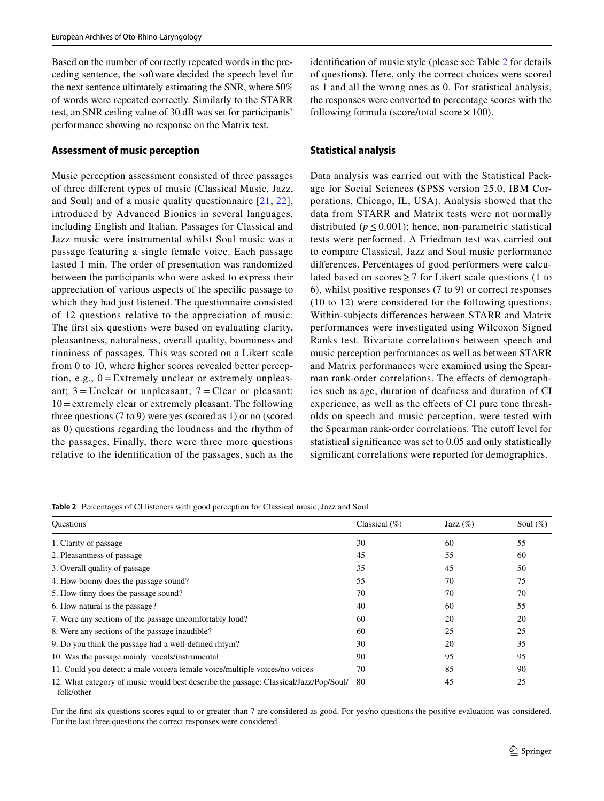Based on the number of correctly repeated words in the preceding sentence, the software decided the speech level for the next sentence ultimately estimating the SNR, where 50% of words were repeated correctly. Similarly to the STARR test, an SNR ceiling value of 30 dB was set for participants' performance showing no response on the Matrix test.

# **Assessment of music perception**

Music perception assessment consisted of three passages of three diferent types of music (Classical Music, Jazz, and Soul) and of a music quality questionnaire [\[21,](#page-8-12) [22](#page-8-13)], introduced by Advanced Bionics in several languages, including English and Italian. Passages for Classical and Jazz music were instrumental whilst Soul music was a passage featuring a single female voice. Each passage lasted 1 min. The order of presentation was randomized between the participants who were asked to express their appreciation of various aspects of the specifc passage to which they had just listened. The questionnaire consisted of 12 questions relative to the appreciation of music. The first six questions were based on evaluating clarity, pleasantness, naturalness, overall quality, boominess and tinniness of passages. This was scored on a Likert scale from 0 to 10, where higher scores revealed better perception, e.g.,  $0 =$  Extremely unclear or extremely unpleasant;  $3 =$ Unclear or unpleasant;  $7 =$ Clear or pleasant; 10=extremely clear or extremely pleasant. The following three questions (7 to 9) were yes (scored as 1) or no (scored as 0) questions regarding the loudness and the rhythm of the passages. Finally, there were three more questions relative to the identifcation of the passages, such as the identifcation of music style (please see Table [2](#page-4-0) for details of questions). Here, only the correct choices were scored as 1 and all the wrong ones as 0. For statistical analysis, the responses were converted to percentage scores with the following formula (score/total score  $\times$  100).

# **Statistical analysis**

Data analysis was carried out with the Statistical Package for Social Sciences (SPSS version 25.0, IBM Corporations, Chicago, IL, USA). Analysis showed that the data from STARR and Matrix tests were not normally distributed ( $p \le 0.001$ ); hence, non-parametric statistical tests were performed. A Friedman test was carried out to compare Classical, Jazz and Soul music performance diferences. Percentages of good performers were calculated based on scores  $\geq$  7 for Likert scale questions (1 to 6), whilst positive responses (7 to 9) or correct responses (10 to 12) were considered for the following questions. Within-subjects diferences between STARR and Matrix performances were investigated using Wilcoxon Signed Ranks test. Bivariate correlations between speech and music perception performances as well as between STARR and Matrix performances were examined using the Spearman rank-order correlations. The effects of demographics such as age, duration of deafness and duration of CI experience, as well as the efects of CI pure tone thresholds on speech and music perception, were tested with the Spearman rank-order correlations. The cutoff level for statistical signifcance was set to 0.05 and only statistically signifcant correlations were reported for demographics.

<span id="page-4-0"></span>**Table 2** Percentages of CI listeners with good perception for Classical music, Jazz and Soul

| <b>Ouestions</b>                                                                                   | Classical $(\%)$ | Jazz $(\%)$ | Soul $(\%)$ |
|----------------------------------------------------------------------------------------------------|------------------|-------------|-------------|
| 1. Clarity of passage                                                                              | 30               | 60          | 55          |
| 2. Pleasantness of passage                                                                         | 45               | 55          | 60          |
| 3. Overall quality of passage                                                                      | 35               | 45          | 50          |
| 4. How boomy does the passage sound?                                                               | 55               | 70          | 75          |
| 5. How tinny does the passage sound?                                                               | 70               | 70          | 70          |
| 6. How natural is the passage?                                                                     | 40               | 60          | 55          |
| 7. Were any sections of the passage uncomfortably loud?                                            | 60               | 20          | 20          |
| 8. Were any sections of the passage inaudible?                                                     | 60               | 25          | 25          |
| 9. Do you think the passage had a well-defined rhtym?                                              | 30               | 20          | 35          |
| 10. Was the passage mainly: vocals/instrumental                                                    | 90               | 95          | 95          |
| 11. Could you detect: a male voice/a female voice/multiple voices/no voices                        | 70               | 85          | 90          |
| 12. What category of music would best describe the passage: Classical/Jazz/Pop/Soul/<br>folk/other | 80               | 45          | 25          |

For the frst six questions scores equal to or greater than 7 are considered as good. For yes/no questions the positive evaluation was considered. For the last three questions the correct responses were considered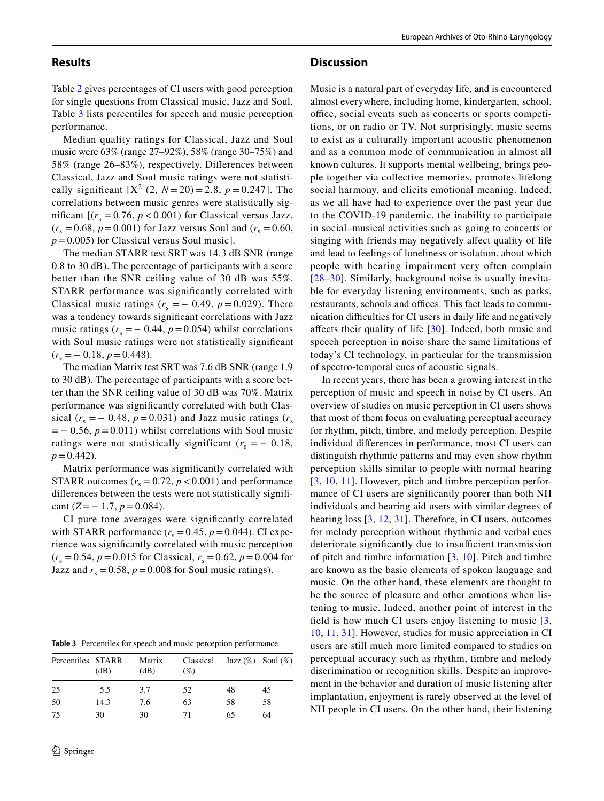## **Results**

Table [2](#page-4-0) gives percentages of CI users with good perception for single questions from Classical music, Jazz and Soul. Table [3](#page-5-0) lists percentiles for speech and music perception performance.

Median quality ratings for Classical, Jazz and Soul music were 63% (range 27–92%), 58% (range 30–75%) and 58% (range 26–83%), respectively. Diferences between Classical, Jazz and Soul music ratings were not statistically significant  $[X^2 (2, N = 20) = 2.8, p = 0.247]$ . The correlations between music genres were statistically significant  $[(r_s = 0.76, p < 0.001)$  for Classical versus Jazz,  $(r_s = 0.68, p = 0.001)$  for Jazz versus Soul and  $(r_s = 0.60, p = 0.60)$ *p*=0.005) for Classical versus Soul music].

The median STARR test SRT was 14.3 dB SNR (range 0.8 to 30 dB). The percentage of participants with a score better than the SNR ceiling value of 30 dB was 55%. STARR performance was signifcantly correlated with Classical music ratings  $(r<sub>s</sub> = -0.49, p = 0.029)$ . There was a tendency towards signifcant correlations with Jazz music ratings  $(r<sub>s</sub> = -0.44, p = 0.054)$  whilst correlations with Soul music ratings were not statistically signifcant  $(r<sub>s</sub> = -0.18, p = 0.448).$ 

The median Matrix test SRT was 7.6 dB SNR (range 1.9 to 30 dB). The percentage of participants with a score better than the SNR ceiling value of 30 dB was 70%. Matrix performance was signifcantly correlated with both Classical ( $r<sub>s</sub> = -0.48$ ,  $p = 0.031$ ) and Jazz music ratings ( $r<sub>s</sub>$ =− 0.56, *p*=0.011) whilst correlations with Soul music ratings were not statistically significant  $(r<sub>s</sub> = -0.18,$  $p = 0.442$ .

Matrix performance was signifcantly correlated with STARR outcomes  $(r_s = 0.72, p < 0.001)$  and performance diferences between the tests were not statistically signifcant  $(Z=-1.7, p=0.084)$ .

CI pure tone averages were signifcantly correlated with STARR performance  $(r_s = 0.45, p = 0.044)$ . CI experience was signifcantly correlated with music perception  $(r_s = 0.54, p = 0.015$  for Classical,  $r_s = 0.62, p = 0.004$  for Jazz and  $r_s = 0.58$ ,  $p = 0.008$  for Soul music ratings).

<span id="page-5-0"></span>**Table 3** Percentiles for speech and music perception performance

| Percentiles STARR | (dB) | Matrix<br>(dB) | Classical<br>$(\%)$ |    | Jazz $(\%)$ Soul $(\%)$ |
|-------------------|------|----------------|---------------------|----|-------------------------|
| 25                | 5.5  | 3.7            | 52                  | 48 | 45                      |
| 50                | 14.3 | 7.6            | 63                  | 58 | 58                      |
| 75                | 30   | 30             | 71                  | 65 | 64                      |

#### **Discussion**

Music is a natural part of everyday life, and is encountered almost everywhere, including home, kindergarten, school, office, social events such as concerts or sports competitions, or on radio or TV. Not surprisingly, music seems to exist as a culturally important acoustic phenomenon and as a common mode of communication in almost all known cultures. It supports mental wellbeing, brings people together via collective memories, promotes lifelong social harmony, and elicits emotional meaning. Indeed, as we all have had to experience over the past year due to the COVID-19 pandemic, the inability to participate in social–musical activities such as going to concerts or singing with friends may negatively afect quality of life and lead to feelings of loneliness or isolation, about which people with hearing impairment very often complain [[28](#page-8-19)–[30](#page-8-20)]. Similarly, background noise is usually inevitable for everyday listening environments, such as parks, restaurants, schools and offices. This fact leads to communication difficulties for CI users in daily life and negatively afects their quality of life [[30](#page-8-20)]. Indeed, both music and speech perception in noise share the same limitations of today's CI technology, in particular for the transmission of spectro-temporal cues of acoustic signals.

In recent years, there has been a growing interest in the perception of music and speech in noise by CI users. An overview of studies on music perception in CI users shows that most of them focus on evaluating perceptual accuracy for rhythm, pitch, timbre, and melody perception. Despite individual diferences in performance, most CI users can distinguish rhythmic patterns and may even show rhythm perception skills similar to people with normal hearing [[3,](#page-7-2) [10,](#page-8-2) [11](#page-8-3)]. However, pitch and timbre perception performance of CI users are signifcantly poorer than both NH individuals and hearing aid users with similar degrees of hearing loss [[3,](#page-7-2) [12,](#page-8-4) [31](#page-8-21)]. Therefore, in CI users, outcomes for melody perception without rhythmic and verbal cues deteriorate significantly due to insufficient transmission of pitch and timbre information  $[3, 10]$  $[3, 10]$  $[3, 10]$  $[3, 10]$  $[3, 10]$ . Pitch and timbre are known as the basic elements of spoken language and music. On the other hand, these elements are thought to be the source of pleasure and other emotions when listening to music. Indeed, another point of interest in the feld is how much CI users enjoy listening to music [\[3,](#page-7-2) [10](#page-8-2), [11,](#page-8-3) [31](#page-8-21)]. However, studies for music appreciation in CI users are still much more limited compared to studies on perceptual accuracy such as rhythm, timbre and melody discrimination or recognition skills. Despite an improvement in the behavior and duration of music listening after implantation, enjoyment is rarely observed at the level of NH people in CI users. On the other hand, their listening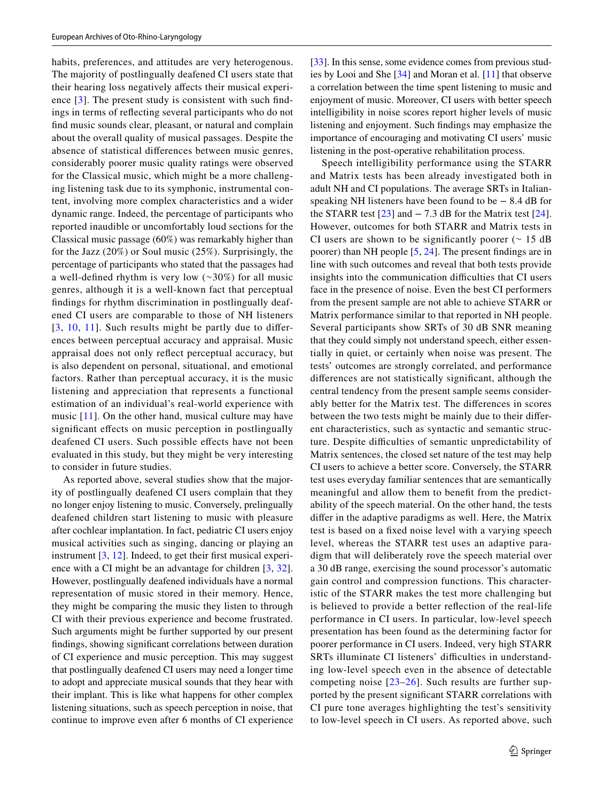habits, preferences, and attitudes are very heterogenous. The majority of postlingually deafened CI users state that their hearing loss negatively afects their musical experience [[3](#page-7-2)]. The present study is consistent with such fndings in terms of refecting several participants who do not fnd music sounds clear, pleasant, or natural and complain about the overall quality of musical passages. Despite the absence of statistical diferences between music genres, considerably poorer music quality ratings were observed for the Classical music, which might be a more challenging listening task due to its symphonic, instrumental content, involving more complex characteristics and a wider dynamic range. Indeed, the percentage of participants who reported inaudible or uncomfortably loud sections for the Classical music passage (60%) was remarkably higher than for the Jazz (20%) or Soul music (25%). Surprisingly, the percentage of participants who stated that the passages had a well-defined rhythm is very low  $(\sim 30\%)$  for all music genres, although it is a well-known fact that perceptual fndings for rhythm discrimination in postlingually deafened CI users are comparable to those of NH listeners  $[3, 10, 11]$  $[3, 10, 11]$  $[3, 10, 11]$  $[3, 10, 11]$  $[3, 10, 11]$  $[3, 10, 11]$  $[3, 10, 11]$ . Such results might be partly due to differences between perceptual accuracy and appraisal. Music appraisal does not only refect perceptual accuracy, but is also dependent on personal, situational, and emotional factors. Rather than perceptual accuracy, it is the music listening and appreciation that represents a functional estimation of an individual's real-world experience with music [[11\]](#page-8-3). On the other hand, musical culture may have significant effects on music perception in postlingually deafened CI users. Such possible efects have not been evaluated in this study, but they might be very interesting to consider in future studies.

As reported above, several studies show that the majority of postlingually deafened CI users complain that they no longer enjoy listening to music. Conversely, prelingually deafened children start listening to music with pleasure after cochlear implantation. In fact, pediatric CI users enjoy musical activities such as singing, dancing or playing an instrument [\[3](#page-7-2), [12\]](#page-8-4). Indeed, to get their first musical experience with a CI might be an advantage for children [[3,](#page-7-2) [32](#page-8-22)]. However, postlingually deafened individuals have a normal representation of music stored in their memory. Hence, they might be comparing the music they listen to through CI with their previous experience and become frustrated. Such arguments might be further supported by our present fndings, showing signifcant correlations between duration of CI experience and music perception. This may suggest that postlingually deafened CI users may need a longer time to adopt and appreciate musical sounds that they hear with their implant. This is like what happens for other complex listening situations, such as speech perception in noise, that continue to improve even after 6 months of CI experience

 $\hat{2}$  Springer

[\[33](#page-8-23)]. In this sense, some evidence comes from previous studies by Looi and She [[34\]](#page-8-24) and Moran et al. [\[11](#page-8-3)] that observe a correlation between the time spent listening to music and enjoyment of music. Moreover, CI users with better speech intelligibility in noise scores report higher levels of music listening and enjoyment. Such fndings may emphasize the importance of encouraging and motivating CI users' music listening in the post-operative rehabilitation process.

Speech intelligibility performance using the STARR and Matrix tests has been already investigated both in adult NH and CI populations. The average SRTs in Italianspeaking NH listeners have been found to be − 8.4 dB for the STARR test  $[23]$  $[23]$  $[23]$  and  $-7.3$  dB for the Matrix test  $[24]$  $[24]$  $[24]$ . However, outcomes for both STARR and Matrix tests in CI users are shown to be significantly poorer ( $\sim 15$  dB poorer) than NH people [\[5](#page-7-4), [24](#page-8-15)]. The present fndings are in line with such outcomes and reveal that both tests provide insights into the communication difficulties that CI users face in the presence of noise. Even the best CI performers from the present sample are not able to achieve STARR or Matrix performance similar to that reported in NH people. Several participants show SRTs of 30 dB SNR meaning that they could simply not understand speech, either essentially in quiet, or certainly when noise was present. The tests' outcomes are strongly correlated, and performance diferences are not statistically signifcant, although the central tendency from the present sample seems considerably better for the Matrix test. The diferences in scores between the two tests might be mainly due to their diferent characteristics, such as syntactic and semantic structure. Despite difficulties of semantic unpredictability of Matrix sentences, the closed set nature of the test may help CI users to achieve a better score. Conversely, the STARR test uses everyday familiar sentences that are semantically meaningful and allow them to beneft from the predictability of the speech material. On the other hand, the tests difer in the adaptive paradigms as well. Here, the Matrix test is based on a fxed noise level with a varying speech level, whereas the STARR test uses an adaptive paradigm that will deliberately rove the speech material over a 30 dB range, exercising the sound processor's automatic gain control and compression functions. This characteristic of the STARR makes the test more challenging but is believed to provide a better refection of the real-life performance in CI users. In particular, low-level speech presentation has been found as the determining factor for poorer performance in CI users. Indeed, very high STARR SRTs illuminate CI listeners' difficulties in understanding low-level speech even in the absence of detectable competing noise  $[23-26]$  $[23-26]$ . Such results are further supported by the present signifcant STARR correlations with CI pure tone averages highlighting the test's sensitivity to low-level speech in CI users. As reported above, such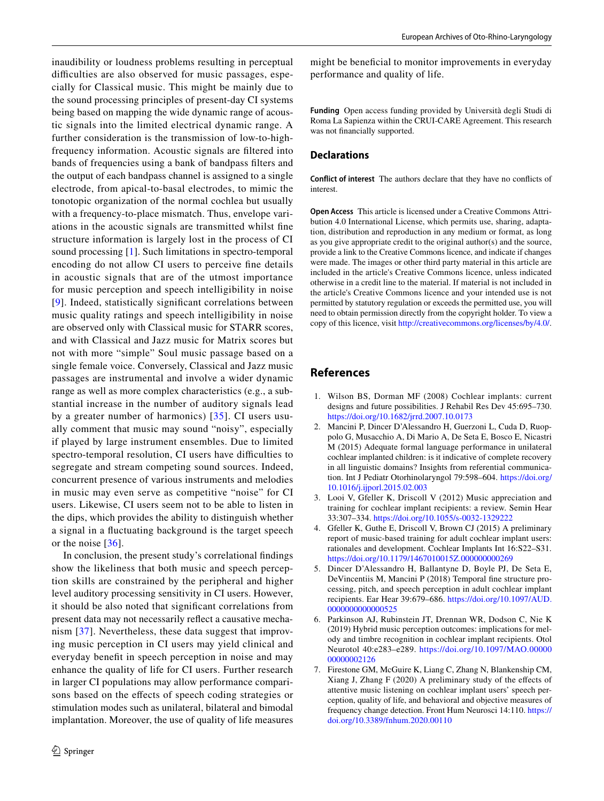inaudibility or loudness problems resulting in perceptual difficulties are also observed for music passages, especially for Classical music. This might be mainly due to the sound processing principles of present-day CI systems being based on mapping the wide dynamic range of acoustic signals into the limited electrical dynamic range. A further consideration is the transmission of low-to-highfrequency information. Acoustic signals are fltered into bands of frequencies using a bank of bandpass flters and the output of each bandpass channel is assigned to a single electrode, from apical-to-basal electrodes, to mimic the tonotopic organization of the normal cochlea but usually with a frequency-to-place mismatch. Thus, envelope variations in the acoustic signals are transmitted whilst fne structure information is largely lost in the process of CI sound processing [\[1](#page-7-0)]. Such limitations in spectro-temporal encoding do not allow CI users to perceive fne details in acoustic signals that are of the utmost importance for music perception and speech intelligibility in noise [[9\]](#page-8-1). Indeed, statistically signifcant correlations between music quality ratings and speech intelligibility in noise are observed only with Classical music for STARR scores, and with Classical and Jazz music for Matrix scores but not with more "simple" Soul music passage based on a single female voice. Conversely, Classical and Jazz music passages are instrumental and involve a wider dynamic range as well as more complex characteristics (e.g., a substantial increase in the number of auditory signals lead by a greater number of harmonics) [[35](#page-8-25)]. CI users usually comment that music may sound "noisy", especially if played by large instrument ensembles. Due to limited spectro-temporal resolution, CI users have difficulties to segregate and stream competing sound sources. Indeed, concurrent presence of various instruments and melodies in music may even serve as competitive "noise" for CI users. Likewise, CI users seem not to be able to listen in the dips, which provides the ability to distinguish whether a signal in a fuctuating background is the target speech or the noise [[36](#page-8-26)].

In conclusion, the present study's correlational fndings show the likeliness that both music and speech perception skills are constrained by the peripheral and higher level auditory processing sensitivity in CI users. However, it should be also noted that signifcant correlations from present data may not necessarily refect a causative mechanism [[37](#page-8-27)]. Nevertheless, these data suggest that improving music perception in CI users may yield clinical and everyday beneft in speech perception in noise and may enhance the quality of life for CI users. Further research in larger CI populations may allow performance comparisons based on the efects of speech coding strategies or stimulation modes such as unilateral, bilateral and bimodal implantation. Moreover, the use of quality of life measures

might be benefcial to monitor improvements in everyday performance and quality of life.

**Funding** Open access funding provided by Università degli Studi di Roma La Sapienza within the CRUI-CARE Agreement. This research was not fnancially supported.

## **Declarations**

**Conflict of interest** The authors declare that they have no conficts of interest.

**Open Access** This article is licensed under a Creative Commons Attribution 4.0 International License, which permits use, sharing, adaptation, distribution and reproduction in any medium or format, as long as you give appropriate credit to the original author(s) and the source, provide a link to the Creative Commons licence, and indicate if changes were made. The images or other third party material in this article are included in the article's Creative Commons licence, unless indicated otherwise in a credit line to the material. If material is not included in the article's Creative Commons licence and your intended use is not permitted by statutory regulation or exceeds the permitted use, you will need to obtain permission directly from the copyright holder. To view a copy of this licence, visit<http://creativecommons.org/licenses/by/4.0/>.

## **References**

- <span id="page-7-0"></span>1. Wilson BS, Dorman MF (2008) Cochlear implants: current designs and future possibilities. J Rehabil Res Dev 45:695–730. <https://doi.org/10.1682/jrrd.2007.10.0173>
- <span id="page-7-1"></span>2. Mancini P, Dincer D'Alessandro H, Guerzoni L, Cuda D, Ruoppolo G, Musacchio A, Di Mario A, De Seta E, Bosco E, Nicastri M (2015) Adequate formal language performance in unilateral cochlear implanted children: is it indicative of complete recovery in all linguistic domains? Insights from referential communication. Int J Pediatr Otorhinolaryngol 79:598–604. [https://doi.org/](https://doi.org/10.1016/j.ijporl.2015.02.003) [10.1016/j.ijporl.2015.02.003](https://doi.org/10.1016/j.ijporl.2015.02.003)
- <span id="page-7-2"></span>3. Looi V, Gfeller K, Driscoll V (2012) Music appreciation and training for cochlear implant recipients: a review. Semin Hear 33:307–334.<https://doi.org/10.1055/s-0032-1329222>
- <span id="page-7-3"></span>4. Gfeller K, Guthe E, Driscoll V, Brown CJ (2015) A preliminary report of music-based training for adult cochlear implant users: rationales and development. Cochlear Implants Int 16:S22–S31. <https://doi.org/10.1179/1467010015Z.000000000269>
- <span id="page-7-4"></span>5. Dincer D'Alessandro H, Ballantyne D, Boyle PJ, De Seta E, DeVincentiis M, Mancini P (2018) Temporal fne structure processing, pitch, and speech perception in adult cochlear implant recipients. Ear Hear 39:679–686. [https://doi.org/10.1097/AUD.](https://doi.org/10.1097/AUD.0000000000000525) [0000000000000525](https://doi.org/10.1097/AUD.0000000000000525)
- <span id="page-7-5"></span>6. Parkinson AJ, Rubinstein JT, Drennan WR, Dodson C, Nie K (2019) Hybrid music perception outcomes: implications for melody and timbre recognition in cochlear implant recipients. Otol Neurotol 40:e283–e289. [https://doi.org/10.1097/MAO.00000](https://doi.org/10.1097/MAO.0000000000002126) [00000002126](https://doi.org/10.1097/MAO.0000000000002126)
- <span id="page-7-6"></span>7. Firestone GM, McGuire K, Liang C, Zhang N, Blankenship CM, Xiang J, Zhang F (2020) A preliminary study of the efects of attentive music listening on cochlear implant users' speech perception, quality of life, and behavioral and objective measures of frequency change detection. Front Hum Neurosci 14:110. [https://](https://doi.org/10.3389/fnhum.2020.00110) [doi.org/10.3389/fnhum.2020.00110](https://doi.org/10.3389/fnhum.2020.00110)